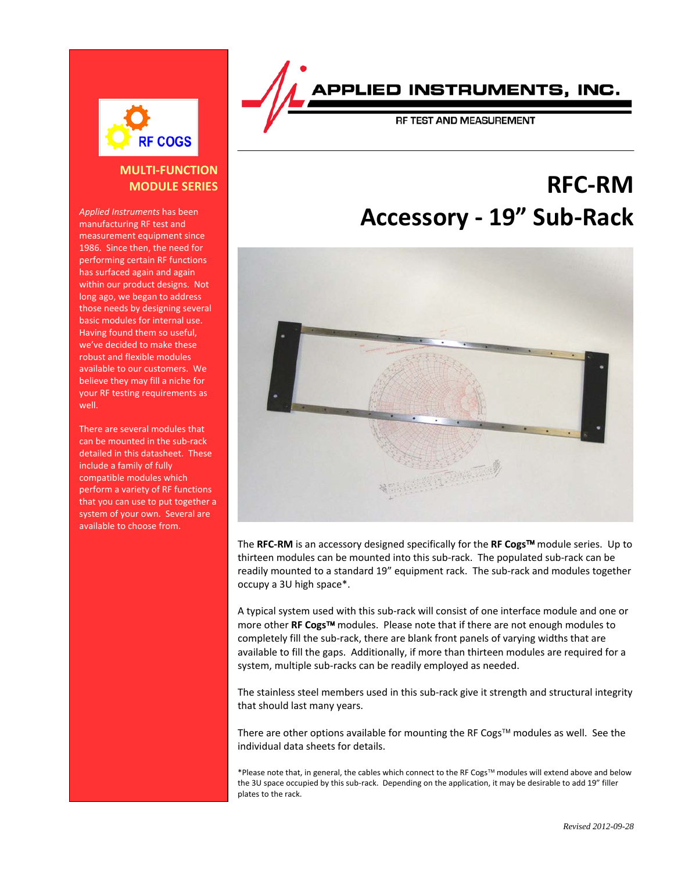

### **MULTI-FUNCTION MODULE SERIES**

*Applied Instruments* has been manufacturing RF test and measurement equipment since 1986. Since then, the need for performing certain RF functions has surfaced again and again within our product designs. Not long ago, we began to address those needs by designing several basic modules for internal use. Having found them so useful, we've decided to make these robust and flexible modules available to our customers. We believe they may fill a niche for your RF testing requirements as well.

There are several modules that can be mounted in the sub-rack detailed in this datasheet. These include a family of fully compatible modules which perform a variety of RF functions that you can use to put together a system of your own. Several are available to choose from.



RF TEST AND MEASUREMENT

# **RFC-RM Accessory - 19" Sub-Rack**



The **RFC-RM** is an accessory designed specifically for the **RF Cogs** module series. Up to thirteen modules can be mounted into this sub-rack. The populated sub-rack can be readily mounted to a standard 19" equipment rack. The sub-rack and modules together occupy a 3U high space\*.

A typical system used with this sub-rack will consist of one interface module and one or more other **RF Cogs™** modules. Please note that if there are not enough modules to completely fill the sub-rack, there are blank front panels of varying widths that are available to fill the gaps. Additionally, if more than thirteen modules are required for a system, multiple sub-racks can be readily employed as needed.

The stainless steel members used in this sub-rack give it strength and structural integrity that should last many years.

There are other options available for mounting the RF Cogs<sup> $TM$ </sup> modules as well. See the individual data sheets for details.

\*Please note that, in general, the cables which connect to the RF Cogs<sup>™</sup> modules will extend above and below the 3U space occupied by this sub-rack. Depending on the application, it may be desirable to add 19" filler plates to the rack.